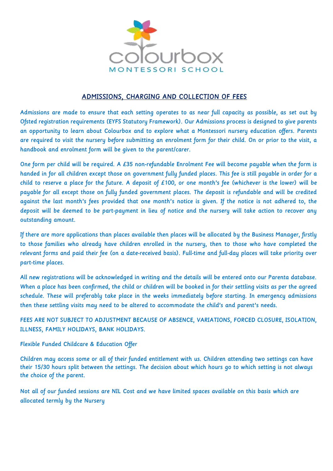

## ADMISSIONS, CHARGING AND COLLECTION OF FEES

Admissions are made to ensure that each setting operates to as near full capacity as possible, as set out by Ofsted registration requirements (EYFS Statutory Framework). Our Admissions process is designed to give parents an opportunity to learn about Colourbox and to explore what a Montessori nursery education offers. Parents are required to visit the nursery before submitting an enrolment form for their child. On or prior to the visit, a handbook and enrolment form will be given to the parent/carer.

One form per child will be required. A £35 non-refundable Enrolment Fee will become payable when the form is handed in for all children except those on government fully funded places. This fee is still payable in order for a child to reserve a place for the future. A deposit of £100, or one month's fee (whichever is the lower) will be payable for all except those on fully funded government places. The deposit is refundable and will be credited against the last month's fees provided that one month's notice is given. If the notice is not adhered to, the deposit will be deemed to be part-payment in lieu of notice and the nursery will take action to recover any outstanding amount.

If there are more applications than places available then places will be allocated by the Business Manager, firstly to those families who already have children enrolled in the nursery, then to those who have completed the relevant forms and paid their fee (on a date-received basis). Full-time and full-day places will take priority over part-time places.

All new registrations will be acknowledged in writing and the details will be entered onto our Parenta database. When a place has been confirmed, the child or children will be booked in for their settling visits as per the agreed schedule. These will preferably take place in the weeks immediately before starting. In emergency admissions then these settling visits may need to be altered to accommodate the child's and parent's needs.

FEES ARE NOT SUBJECT TO ADJUSTMENT BECAUSE OF ABSENCE, VARIATIONS, FORCED CLOSURE, ISOLATION, ILLNESS, FAMILY HOLIDAYS, BANK HOLIDAYS.

## Flexible Funded Childcare & Education Offer

Children may access some or all of their funded entitlement with us. Children attending two settings can have their 15/30 hours split between the settings. The decision about which hours go to which setting is not always the choice of the parent.

Not all of our funded sessions are NIL Cost and we have limited spaces available on this basis which are allocated termly by the Nursery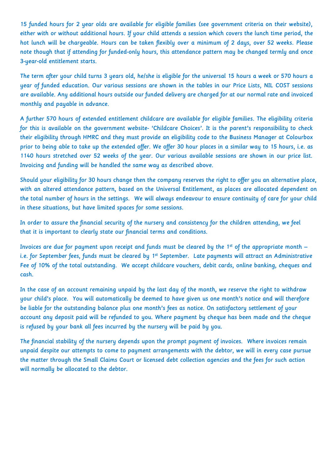15 funded hours for 2 year olds are available for eligible families (see government criteria on their website), either with or without additional hours. If your child attends a session which covers the lunch time period, the hot lunch will be chargeable. Hours can be taken flexibly over a minimum of 2 days, over 52 weeks. Please note though that if attending for funded-only hours, this attendance pattern may be changed termly and once 3-year-old entitlement starts.

The term after your child turns 3 years old, he/she is eligible for the universal 15 hours a week or 570 hours a year of funded education. Our various sessions are shown in the tables in our Price Lists, NIL COST sessions are available. Any additional hours outside our funded delivery are charged for at our normal rate and invoiced monthly and payable in advance.

A further 570 hours of extended entitlement childcare are available for eligible families. The eligibility criteria for this is available on the government website- 'Childcare Choices'. It is the parent's responsibility to check their eligibility through HMRC and they must provide an eligibility code to the Business Manager at Colourbox prior to being able to take up the extended offer. We offer 30 hour places in a similar way to 15 hours, i.e. as 1140 hours stretched over 52 weeks of the year. Our various available sessions are shown in our price list. Invoicing and funding will be handled the same way as described above.

Should your eligibility for 30 hours change then the company reserves the right to offer you an alternative place, with an altered attendance pattern, based on the Universal Entitlement, as places are allocated dependent on the total number of hours in the settings. We will always endeavour to ensure continuity of care for your child in these situations, but have limited spaces for some sessions.

In order to assure the financial security of the nursery and consistency for the children attending, we feel that it is important to clearly state our financial terms and conditions.

Invoices are due for payment upon receipt and funds must be cleared by the  $1^{st}$  of the appropriate month  $$ i.e. for September fees, funds must be cleared by 1<sup>st</sup> September. Late payments will attract an Administrative Fee of 10% of the total outstanding. We accept childcare vouchers, debit cards, online banking, cheques and cash.

In the case of an account remaining unpaid by the last day of the month, we reserve the right to withdraw your child's place. You will automatically be deemed to have given us one month's notice and will therefore be liable for the outstanding balance plus one month's fees as notice. On satisfactory settlement of your account any deposit paid will be refunded to you. Where payment by cheque has been made and the cheque is refused by your bank all fees incurred by the nursery will be paid by you.

The financial stability of the nursery depends upon the prompt payment of invoices. Where invoices remain unpaid despite our attempts to come to payment arrangements with the debtor, we will in every case pursue the matter through the Small Claims Court or licensed debt collection agencies and the fees for such action will normally be allocated to the debtor.